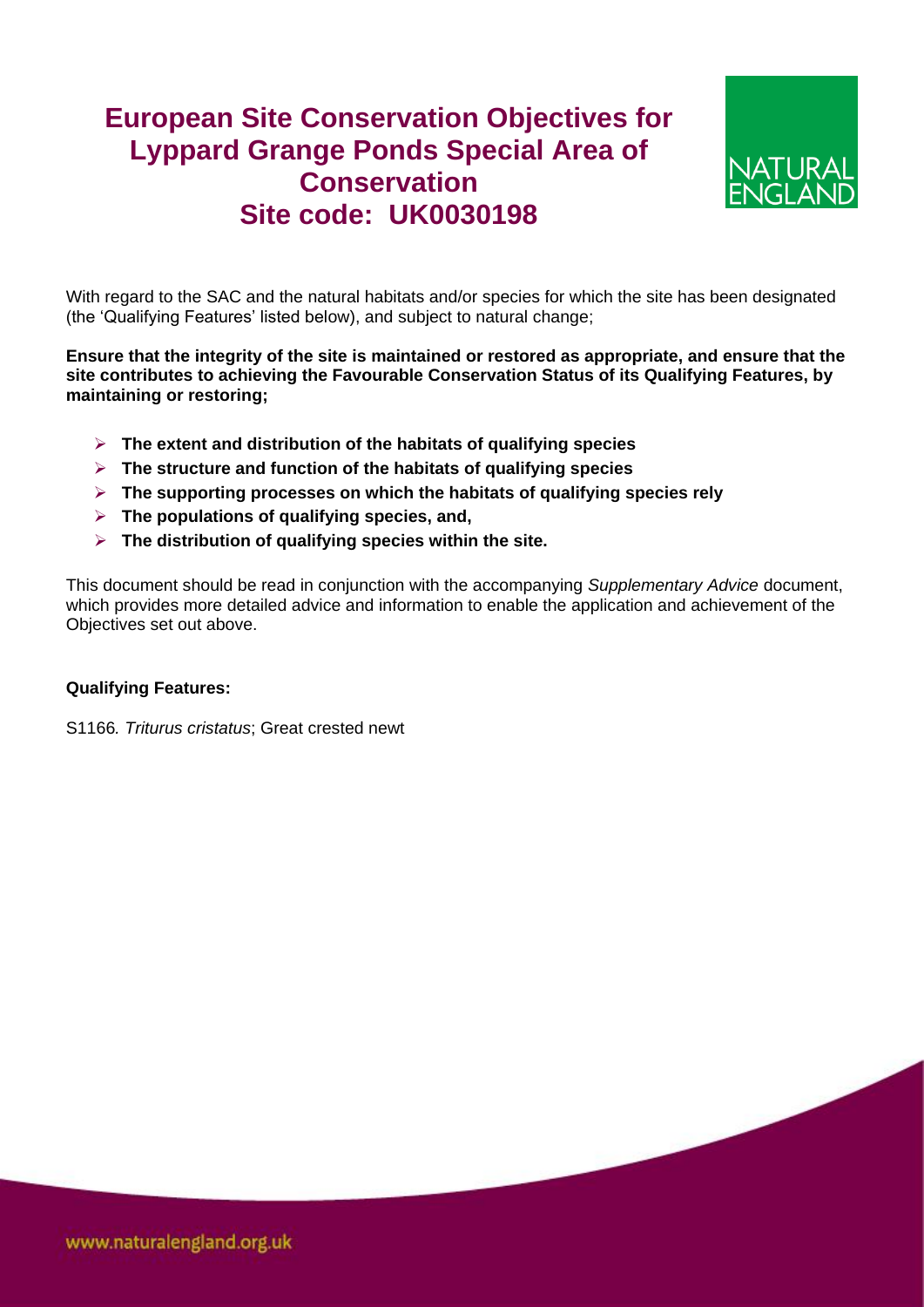## **European Site Conservation Objectives for Lyppard Grange Ponds Special Area of Conservation Site code: UK0030198**



With regard to the SAC and the natural habitats and/or species for which the site has been designated (the 'Qualifying Features' listed below), and subject to natural change;

**Ensure that the integrity of the site is maintained or restored as appropriate, and ensure that the site contributes to achieving the Favourable Conservation Status of its Qualifying Features, by maintaining or restoring;**

- **The extent and distribution of the habitats of qualifying species**
- **The structure and function of the habitats of qualifying species**
- **The supporting processes on which the habitats of qualifying species rely**
- **The populations of qualifying species, and,**
- **The distribution of qualifying species within the site.**

This document should be read in conjunction with the accompanying *Supplementary Advice* document, which provides more detailed advice and information to enable the application and achievement of the Objectives set out above.

## **Qualifying Features:**

S1166*. Triturus cristatus*; Great crested newt